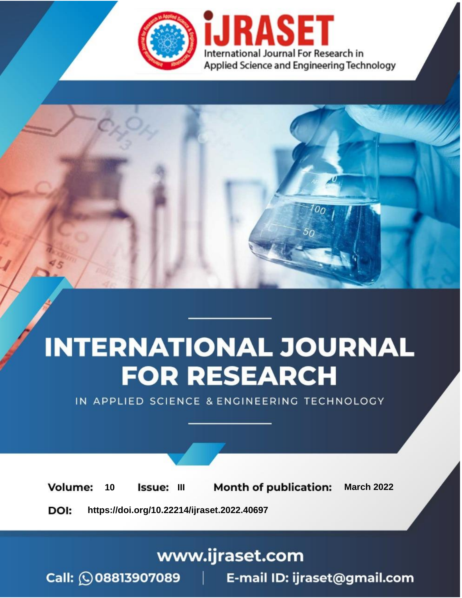

# **INTERNATIONAL JOURNAL FOR RESEARCH**

IN APPLIED SCIENCE & ENGINEERING TECHNOLOGY

10 **Issue: III Month of publication:** March 2022 **Volume:** 

**https://doi.org/10.22214/ijraset.2022.40697**DOI:

www.ijraset.com

Call: 008813907089 | E-mail ID: ijraset@gmail.com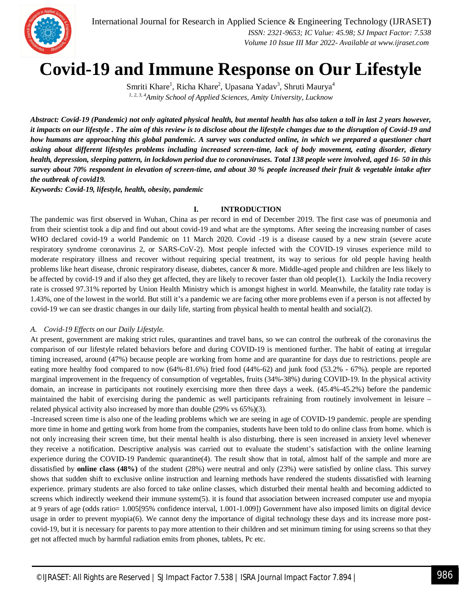

 *Volume 10 Issue III Mar 2022- Available at www.ijraset.com*

## **Covid-19 and Immune Response on Our Lifestyle**

Smriti Khare<sup>1</sup>, Richa Khare<sup>2</sup>, Upasana Yadav<sup>3</sup>, Shruti Maurya<sup>4</sup> *1, 2, 3, 4Amity School of Applied Sciences, Amity University, Lucknow*

*Abstract: Covid-19 (Pandemic) not only agitated physical health, but mental health has also taken a toll in last 2 years however, it impacts on our lifestyle . The aim of this review is to disclose about the lifestyle changes due to the disruption of Covid-19 and how humans are approaching this global pandemic. A survey was conducted online, in which we prepared a questioner chart asking about different lifestyles problems including increased screen-time, lack of body movement, eating disorder, dietary health, depression, sleeping pattern, in lockdown period due to coronaviruses. Total 138 people were involved, aged 16- 50 in this survey about 70% respondent in elevation of screen-time, and about 30 % people increased their fruit & vegetable intake after the outbreak of covid19.* 

*Keywords: Covid-19, lifestyle, health, obesity, pandemic*

## **I. INTRODUCTION**

The pandemic was first observed in Wuhan, China as per record in end of December 2019. The first case was of pneumonia and from their scientist took a dip and find out about covid-19 and what are the symptoms. After seeing the increasing number of cases WHO declared covid-19 a world Pandemic on 11 March 2020. Covid -19 is a disease caused by a new strain (severe acute respiratory syndrome coronavirus 2, or SARS-CoV-2). Most people infected with the COVID-19 viruses experience mild to moderate respiratory illness and recover without requiring special treatment, its way to serious for old people having health problems like heart disease, chronic respiratory disease, diabetes, cancer & more. Middle-aged people and children are less likely to be affected by covid-19 and if also they get affected, they are likely to recover faster than old people(1). Luckily the India recovery rate is crossed 97.31% reported by Union Health Ministry which is amongst highest in world. Meanwhile, the fatality rate today is 1.43%, one of the lowest in the world. But still it's a pandemic we are facing other more problems even if a person is not affected by covid-19 we can see drastic changes in our daily life, starting from physical health to mental health and social(2).

### *A. Covid-19 Effects on our Daily Lifestyle.*

At present, government are making strict rules, quarantines and travel bans, so we can control the outbreak of the coronavirus the comparison of our lifestyle related behaviors before and during COVID-19 is mentioned further. The habit of eating at irregular timing increased, around (47%) because people are working from home and are quarantine for days due to restrictions. people are eating more healthy food compared to now (64%-81.6%) fried food (44%-62) and junk food (53.2% - 67%). people are reported marginal improvement in the frequency of consumption of vegetables, fruits (34%-38%) during COVID-19. In the physical activity domain, an increase in participants not routinely exercising more then three days a week. (45.4%-45.2%) before the pandemic maintained the habit of exercising during the pandemic as well participants refraining from routinely involvement in leisure – related physical activity also increased by more than double (29% vs 65%)(3).

-Increased screen time is also one of the leading problems which we are seeing in age of COVID-19 pandemic. people are spending more time in home and getting work from home from the companies, students have been told to do online class from home. which is not only increasing their screen time, but their mental health is also disturbing. there is seen increased in anxiety level whenever they receive a notification. Descriptive analysis was carried out to evaluate the student's satisfaction with the online learning experience during the COVID-19 Pandemic quarantine(4). The result show that in total, almost half of the sample and more are dissatisfied by **online class (48%)** of the student (28%) were neutral and only (23%) were satisfied by online class. This survey shows that sudden shift to exclusive online instruction and learning methods have rendered the students dissatisfied with learning experience. primary students are also forced to take online classes, which disturbed their mental health and becoming addicted to screens which indirectly weekend their immune system(5). it is found that association between increased computer use and myopia at 9 years of age (odds ratio= 1.005[95% confidence interval, 1.001-1.009]) Government have also imposed limits on digital device usage in order to prevent myopia(6). We cannot deny the importance of digital technology these days and its increase more postcovid-19, but it is necessary for parents to pay more attention to their children and set minimum timing for using screens so that they get not affected much by harmful radiation emits from phones, tablets, Pc etc.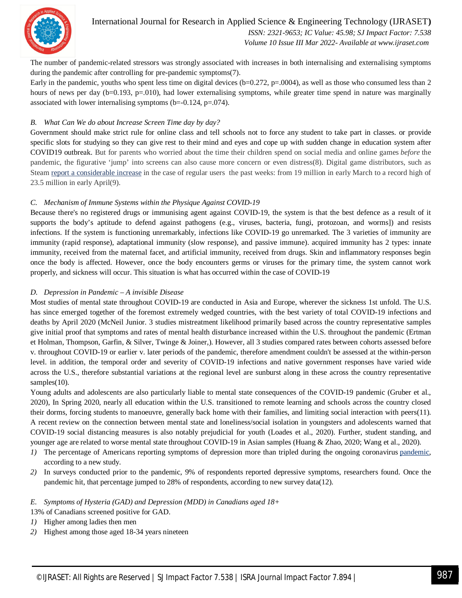

## International Journal for Research in Applied Science & Engineering Technology (IJRASET**)**

 *ISSN: 2321-9653; IC Value: 45.98; SJ Impact Factor: 7.538 Volume 10 Issue III Mar 2022- Available at www.ijraset.com*

The number of pandemic-related stressors was strongly associated with increases in both internalising and externalising symptoms during the pandemic after controlling for pre-pandemic symptoms(7).

Early in the pandemic, youths who spent less time on digital devices (b=0.272, p=.0004), as well as those who consumed less than 2 hours of news per day (b=0.193, p=.010), had lower externalising symptoms, while greater time spend in nature was marginally associated with lower internalising symptoms ( $b$ =-0.124,  $p$ =.074).

## *B. What Can We do about Increase Screen Time day by day?*

Government should make strict rule for online class and tell schools not to force any student to take part in classes. or provide specific slots for studying so they can give rest to their mind and eyes and cope up with sudden change in education system after COVID19 outbreak. But for parents who worried about the time their children spend on social media and online games *before* the pandemic, the figurative 'jump' into screens can also cause more concern or even distress(8). Digital game distributors, such as Steam report a considerable increase in the case of regular users the past weeks: from 19 million in early March to a record high of 23.5 million in early April(9).

## *C. Mechanism of Immune Systems within the Physique Against COVID-19*

Because there's no registered drugs or immunising agent against COVID-19, the system is that the best defence as a result of it supports the body's aptitude to defend against pathogens (e.g., viruses, bacteria, fungi, protozoan, and worms]) and resists infections. If the system is functioning unremarkably, infections like COVID-19 go unremarked. The 3 varieties of immunity are immunity (rapid response), adaptational immunity (slow response), and passive immune). acquired immunity has 2 types: innate immunity, received from the maternal facet, and artificial immunity, received from drugs. Skin and inflammatory responses begin once the body is affected. However, once the body encounters germs or viruses for the primary time, the system cannot work properly, and sickness will occur. This situation is what has occurred within the case of COVID-19

## *D. Depression in Pandemic – A invisible Disease*

Most studies of mental state throughout COVID-19 are conducted in Asia and Europe, wherever the sickness 1st unfold. The U.S. has since emerged together of the foremost extremely wedged countries, with the best variety of total COVID-19 infections and deaths by April 2020 (McNeil Junior. 3 studies mistreatment likelihood primarily based across the country representative samples give initial proof that symptoms and rates of mental health disturbance increased within the U.S. throughout the pandemic (Ertman et Holman, Thompson, Garfin, & Silver, Twinge & Joiner,). However, all 3 studies compared rates between cohorts assessed before v. throughout COVID-19 or earlier v. later periods of the pandemic, therefore amendment couldn't be assessed at the within-person level. in addition, the temporal order and severity of COVID-19 infections and native government responses have varied wide across the U.S., therefore substantial variations at the regional level are sunburst along in these across the country representative samples(10).

Young adults and adolescents are also particularly liable to mental state consequences of the COVID-19 pandemic (Gruber et al., 2020), In Spring 2020, nearly all education within the U.S. transitioned to remote learning and schools across the country closed their dorms, forcing students to manoeuvre, generally back home with their families, and limiting social interaction with peers(11). A recent review on the connection between mental state and loneliness/social isolation in youngsters and adolescents warned that COVID-19 social distancing measures is also notably prejudicial for youth (Loades et al., 2020). Further, student standing, and younger age are related to worse mental state throughout COVID-19 in Asian samples (Huang & Zhao, 2020; Wang et al., 2020).

- *1*) The percentage of Americans reporting symptoms of depression more than tripled during the ongoing coronavirus pandemic, according to a new study.
- *2)* In surveys conducted prior to the pandemic, 9% of respondents reported depressive symptoms, researchers found. Once the pandemic hit, that percentage jumped to 28% of respondents, according to new survey data(12).

## *E. Symptoms of Hysteria (GAD) and Depression (MDD) in Canadians aged 18+*

13% of Canadians screened positive for GAD.

- *1)* Higher among ladies then men
- *2)* Highest among those aged 18-34 years nineteen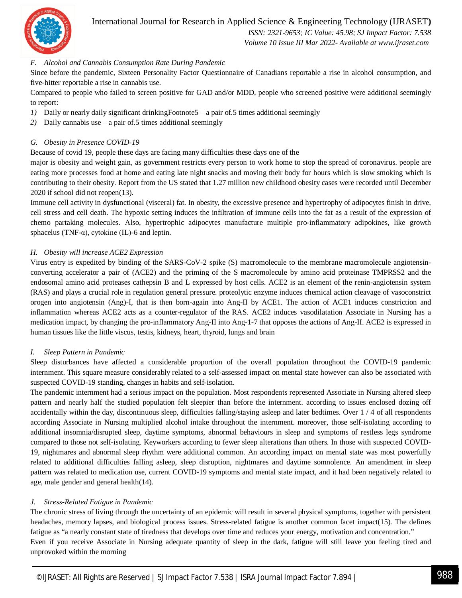

## International Journal for Research in Applied Science & Engineering Technology (IJRASET**)**

 *ISSN: 2321-9653; IC Value: 45.98; SJ Impact Factor: 7.538*

 *Volume 10 Issue III Mar 2022- Available at www.ijraset.com*

## *F. Alcohol and Cannabis Consumption Rate During Pandemic*

Since before the pandemic, Sixteen Personality Factor Questionnaire of Canadians reportable a rise in alcohol consumption, and five-hitter reportable a rise in cannabis use.

Compared to people who failed to screen positive for GAD and/or MDD, people who screened positive were additional seemingly to report:

- *1*) Daily or nearly daily significant drinkingFootnote5 a pair of.5 times additional seemingly
- *2)* Daily cannabis use a pair of.5 times additional seemingly

### *G. Obesity in Presence COVID-19*

Because of covid 19, people these days are facing many difficulties these days one of the

major is obesity and weight gain, as government restricts every person to work home to stop the spread of coronavirus. people are eating more processes food at home and eating late night snacks and moving their body for hours which is slow smoking which is contributing to their obesity. Report from the US stated that 1.27 million new childhood obesity cases were recorded until December 2020 if school did not reopen(13).

Immune cell activity in dysfunctional (visceral) fat. In obesity, the excessive presence and hypertrophy of adipocytes finish in drive, cell stress and cell death. The hypoxic setting induces the infiltration of immune cells into the fat as a result of the expression of chemo partaking molecules. Also, hypertrophic adipocytes manufacture multiple pro-inflammatory adipokines, like growth sphacelus (TNF- $\alpha$ ), cytokine (IL)-6 and leptin.

## *H. Obesity will increase ACE2 Expression*

Virus entry is expedited by binding of the SARS-CoV-2 spike (S) macromolecule to the membrane macromolecule angiotensinconverting accelerator a pair of (ACE2) and the priming of the S macromolecule by amino acid proteinase TMPRSS2 and the endosomal amino acid proteases cathepsin B and L expressed by host cells. ACE2 is an element of the renin-angiotensin system (RAS) and plays a crucial role in regulation general pressure. proteolytic enzyme induces chemical action cleavage of vasoconstrict orogen into angiotensin (Ang)-I, that is then born-again into Ang-II by ACE1. The action of ACE1 induces constriction and inflammation whereas ACE2 acts as a counter-regulator of the RAS. ACE2 induces vasodilatation Associate in Nursing has a medication impact, by changing the pro-inflammatory Ang-II into Ang-1-7 that opposes the actions of Ang-II. ACE2 is expressed in human tissues like the little viscus, testis, kidneys, heart, thyroid, lungs and brain

### *I. Sleep Pattern in Pandemic*

Sleep disturbances have affected a considerable proportion of the overall population throughout the COVID-19 pandemic internment. This square measure considerably related to a self-assessed impact on mental state however can also be associated with suspected COVID-19 standing, changes in habits and self-isolation.

The pandemic internment had a serious impact on the population. Most respondents represented Associate in Nursing altered sleep pattern and nearly half the studied population felt sleepier than before the internment. according to issues enclosed dozing off accidentally within the day, discontinuous sleep, difficulties falling/staying asleep and later bedtimes. Over 1 / 4 of all respondents according Associate in Nursing multiplied alcohol intake throughout the internment. moreover, those self-isolating according to additional insomnia/disrupted sleep, daytime symptoms, abnormal behaviours in sleep and symptoms of restless legs syndrome compared to those not self-isolating. Keyworkers according to fewer sleep alterations than others. In those with suspected COVID-19, nightmares and abnormal sleep rhythm were additional common. An according impact on mental state was most powerfully related to additional difficulties falling asleep, sleep disruption, nightmares and daytime somnolence. An amendment in sleep pattern was related to medication use, current COVID-19 symptoms and mental state impact, and it had been negatively related to age, male gender and general health(14).

## *J. Stress-Related Fatigue in Pandemic*

The chronic stress of living through the uncertainty of an epidemic will result in several physical symptoms, together with persistent headaches, memory lapses, and biological process issues. Stress-related fatigue is another common facet impact(15). The defines fatigue as "a nearly constant state of tiredness that develops over time and reduces your energy, motivation and concentration." Even if you receive Associate in Nursing adequate quantity of sleep in the dark, fatigue will still leave you feeling tired and unprovoked within the morning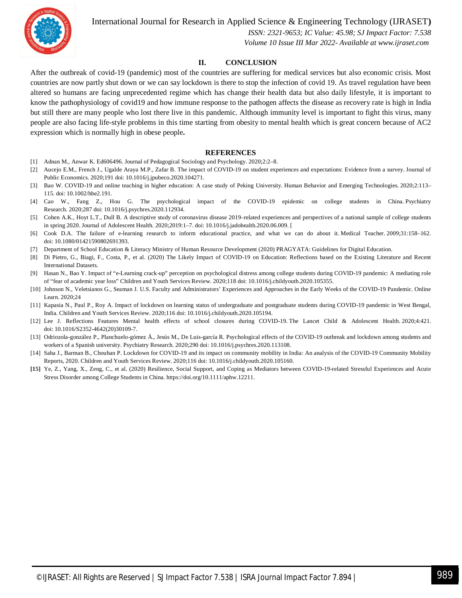International Journal for Research in Applied Science & Engineering Technology (IJRASET**)**



 *ISSN: 2321-9653; IC Value: 45.98; SJ Impact Factor: 7.538 Volume 10 Issue III Mar 2022- Available at www.ijraset.com*

## **II. CONCLUSION**

After the outbreak of covid-19 (pandemic) most of the countries are suffering for medical services but also economic crisis. Most countries are now partly shut down or we can say lockdown is there to stop the infection of covid 19. As travel regulation have been altered so humans are facing unprecedented regime which has change their health data but also daily lifestyle, it is important to know the pathophysiology of covid19 and how immune response to the pathogen affects the disease as recovery rate is high in India but still there are many people who lost there live in this pandemic. Although immunity level is important to fight this virus, many people are also facing life-style problems in this time starting from obesity to mental health which is great concern because of AC2 expression which is normally high in obese people**.** 

#### **REFERENCES**

- [1] Adnan M., Anwar K. Ed606496. Journal of Pedagogical Sociology and Psychology. 2020;2:2–8.
- [2] Aucejo E.M., French J., Ugalde Araya M.P., Zafar B. The impact of COVID-19 on student experiences and expectations: Evidence from a survey. Journal of Public Economics. 2020;191 doi: 10.1016/j.jpubeco.2020.104271.
- [3] Bao W. COVID-19 and online teaching in higher education: A case study of Peking University. Human Behavior and Emerging Technologies. 2020;2:113– 115. doi: 10.1002/hbe2.191.
- [4] Cao W., Fang Z., Hou G. The psychological impact of the COVID-19 epidemic on college students in China. Psychiatry Research. 2020;287 doi: 10.1016/j.psychres.2020.112934.
- [5] Cohen A.K., Hoyt L.T., Dull B. A descriptive study of coronavirus disease 2019–related experiences and perspectives of a national sample of college students in spring 2020. Journal of Adolescent Health. 2020;2019:1–7. doi: 10.1016/j.jadohealth.2020.06.009. [
- [6] Cook D.A. The failure of e-learning research to inform educational practice, and what we can do about it. Medical Teacher. 2009;31:158–162. doi: 10.1080/01421590802691393.
- [7] Department of School Education & Literacy Ministry of Human Resource Development (2020) PRAGYATA: Guidelines for Digital Education.
- [8] Di Pietro, G., Biagi, F., Costa, P., et al. (2020) The Likely Impact of COVID-19 on Education: Reflections based on the Existing Literature and Recent International Datasets.
- [9] Hasan N., Bao Y. Impact of "e-Learning crack-up" perception on psychological distress among college students during COVID-19 pandemic: A mediating role of "fear of academic year loss" Children and Youth Services Review. 2020;118 doi: 10.1016/j.childyouth.2020.105355.
- [10] Johnson N., Veletsianos G., Seaman J. U.S. Faculty and Administrators' Experiences and Approaches in the Early Weeks of the COVID-19 Pandemic. Online Learn. 2020;24
- [11] Kapasia N., Paul P., Roy A. Impact of lockdown on learning status of undergraduate and postgraduate students during COVID-19 pandemic in West Bengal, India. Children and Youth Services Review. 2020;116 doi: 10.1016/j.childyouth.2020.105194.
- [12] Lee J. Reflections Features Mental health effects of school closures during COVID-19. The Lancet Child & Adolescent Health. 2020;4:421. doi: 10.1016/S2352-4642(20)30109-7.
- [13] Odriozola-gonzález P., Planchuelo-gómez Á., Jesús M., De Luis-garcía R. Psychological effects of the COVID-19 outbreak and lockdown among students and workers of a Spanish university. Psychiatry Research. 2020;290 doi: 10.1016/j.psychres.2020.113108.
- [14] Saha J., Barman B., Chouhan P. Lockdown for COVID-19 and its impact on community mobility in India: An analysis of the COVID-19 Community Mobility Reports, 2020. Children and Youth Services Review. 2020;116 doi: 10.1016/j.childyouth.2020.105160.
- **[15]** Ye, Z., Yang, X., Zeng, C., et al. (2020) Resilience, Social Support, and Coping as Mediators between COVID-19-related Stressful Experiences and Acute Stress Disorder among College Students in China. https://doi.org/10.1111/aphw.12211.